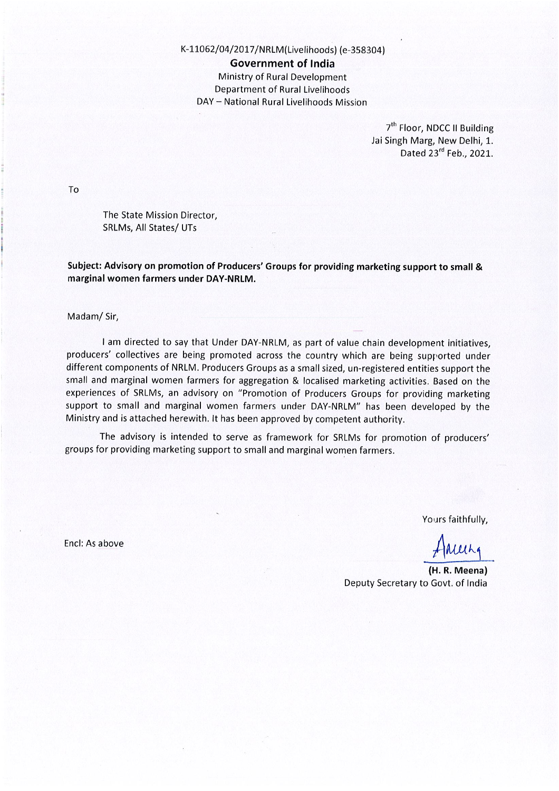#### K-11062/04/2017/NRLM(Livelihoods) (e-358304)

**Government of India** Ministry of Rural Development **Department of Rural Livelihoods** DAY - National Rural Livelihoods Mission

> 7<sup>th</sup> Floor, NDCC II Building Jai Singh Marg, New Delhi, 1. Dated 23rd Feb., 2021.

To

The State Mission Director, SRLMs, All States/ UTs

Subject: Advisory on promotion of Producers' Groups for providing marketing support to small & marginal women farmers under DAY-NRLM.

Madam/Sir,

I am directed to say that Under DAY-NRLM, as part of value chain development initiatives, producers' collectives are being promoted across the country which are being supported under different components of NRLM. Producers Groups as a small sized, un-registered entities support the small and marginal women farmers for aggregation & localised marketing activities. Based on the experiences of SRLMs, an advisory on "Promotion of Producers Groups for providing marketing support to small and marginal women farmers under DAY-NRLM" has been developed by the Ministry and is attached herewith. It has been approved by competent authority.

The advisory is intended to serve as framework for SRLMs for promotion of producers' groups for providing marketing support to small and marginal women farmers.

Yours faithfully,

(H. R. Meena) Deputy Secretary to Govt. of India

Encl: As above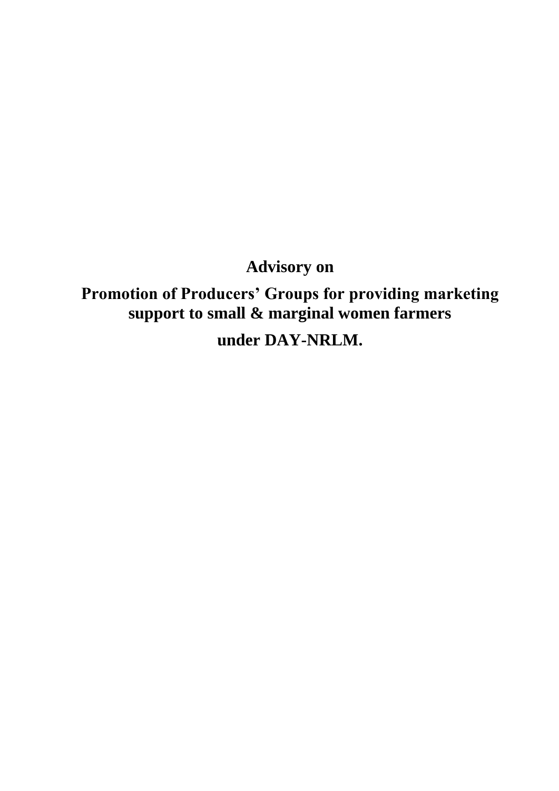# **Advisory on**

# **Promotion of Producers' Groups for providing marketing support to small & marginal women farmers**

# **under DAY-NRLM.**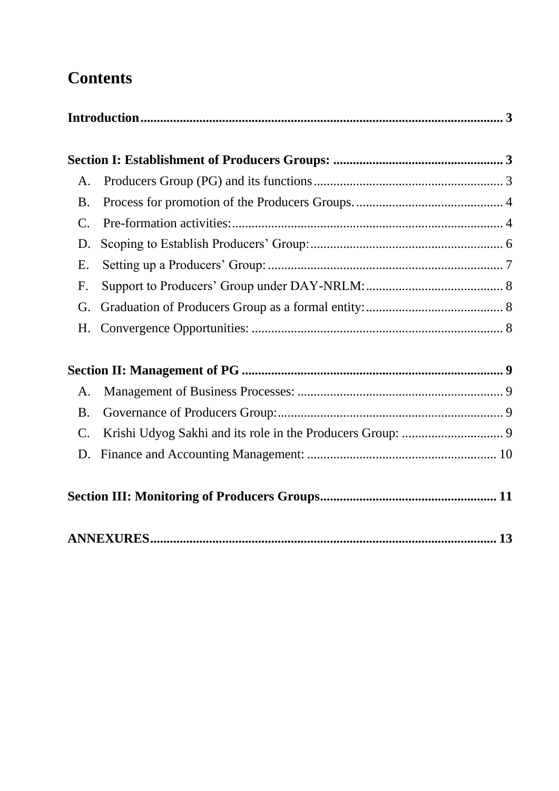# **Contents**

| A.              |  |
|-----------------|--|
| <b>B.</b>       |  |
| $\mathcal{C}$ . |  |
| D.              |  |
| E.              |  |
| F.              |  |
| G.              |  |
| H.              |  |
|                 |  |
| A.              |  |
| <b>B.</b>       |  |
| $\mathcal{C}$ . |  |
| D.              |  |
|                 |  |
|                 |  |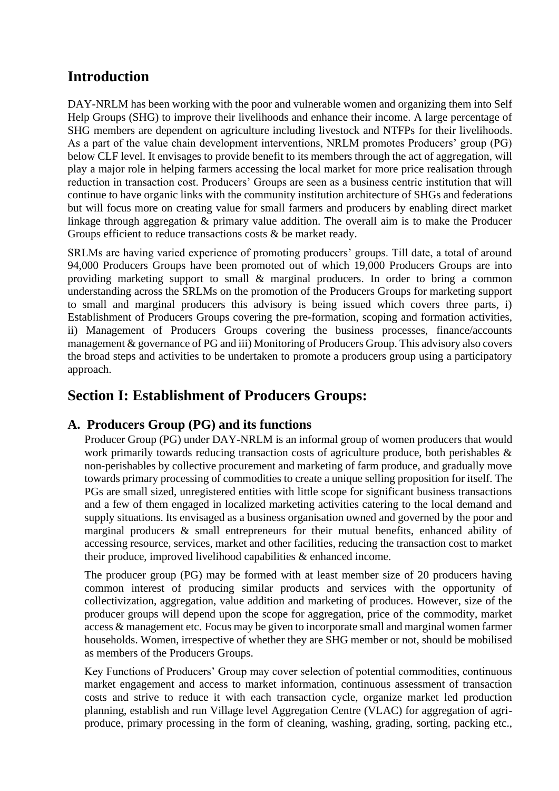# **Introduction**

DAY-NRLM has been working with the poor and vulnerable women and organizing them into Self Help Groups (SHG) to improve their livelihoods and enhance their income. A large percentage of SHG members are dependent on agriculture including livestock and NTFPs for their livelihoods. As a part of the value chain development interventions, NRLM promotes Producers' group (PG) below CLF level. It envisages to provide benefit to its members through the act of aggregation, will play a major role in helping farmers accessing the local market for more price realisation through reduction in transaction cost. Producers' Groups are seen as a business centric institution that will continue to have organic links with the community institution architecture of SHGs and federations but will focus more on creating value for small farmers and producers by enabling direct market linkage through aggregation & primary value addition. The overall aim is to make the Producer Groups efficient to reduce transactions costs & be market ready.

SRLMs are having varied experience of promoting producers' groups. Till date, a total of around 94,000 Producers Groups have been promoted out of which 19,000 Producers Groups are into providing marketing support to small & marginal producers. In order to bring a common understanding across the SRLMs on the promotion of the Producers Groups for marketing support to small and marginal producers this advisory is being issued which covers three parts, i) Establishment of Producers Groups covering the pre-formation, scoping and formation activities, ii) Management of Producers Groups covering the business processes, finance/accounts management & governance of PG and iii) Monitoring of Producers Group. This advisory also covers the broad steps and activities to be undertaken to promote a producers group using a participatory approach.

# **Section I: Establishment of Producers Groups:**

## **A. Producers Group (PG) and its functions**

Producer Group (PG) under DAY-NRLM is an informal group of women producers that would work primarily towards reducing transaction costs of agriculture produce, both perishables & non-perishables by collective procurement and marketing of farm produce, and gradually move towards primary processing of commodities to create a unique selling proposition for itself. The PGs are small sized, unregistered entities with little scope for significant business transactions and a few of them engaged in localized marketing activities catering to the local demand and supply situations. Its envisaged as a business organisation owned and governed by the poor and marginal producers & small entrepreneurs for their mutual benefits, enhanced ability of accessing resource, services, market and other facilities, reducing the transaction cost to market their produce, improved livelihood capabilities & enhanced income.

The producer group (PG) may be formed with at least member size of 20 producers having common interest of producing similar products and services with the opportunity of collectivization, aggregation, value addition and marketing of produces. However, size of the producer groups will depend upon the scope for aggregation, price of the commodity, market access & management etc. Focus may be given to incorporate small and marginal women farmer households. Women, irrespective of whether they are SHG member or not, should be mobilised as members of the Producers Groups.

Key Functions of Producers' Group may cover selection of potential commodities, continuous market engagement and access to market information, continuous assessment of transaction costs and strive to reduce it with each transaction cycle, organize market led production planning, establish and run Village level Aggregation Centre (VLAC) for aggregation of agriproduce, primary processing in the form of cleaning, washing, grading, sorting, packing etc.,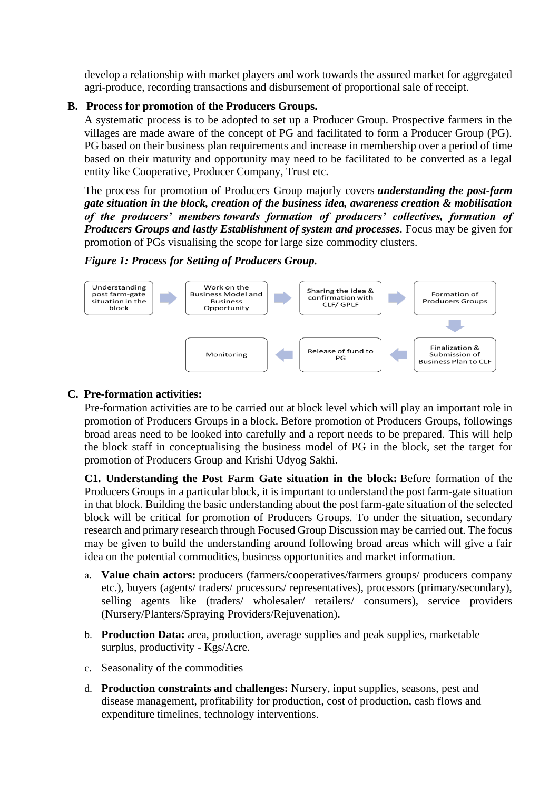develop a relationship with market players and work towards the assured market for aggregated agri-produce, recording transactions and disbursement of proportional sale of receipt.

### **B. Process for promotion of the Producers Groups.**

A systematic process is to be adopted to set up a Producer Group. Prospective farmers in the villages are made aware of the concept of PG and facilitated to form a Producer Group (PG). PG based on their business plan requirements and increase in membership over a period of time based on their maturity and opportunity may need to be facilitated to be converted as a legal entity like Cooperative, Producer Company, Trust etc.

The process for promotion of Producers Group majorly covers *understanding the post-farm gate situation in the block, creation of the business idea, awareness creation & mobilisation of the producers' members towards formation of producers' collectives, formation of Producers Groups and lastly Establishment of system and processes*. Focus may be given for promotion of PGs visualising the scope for large size commodity clusters.

*Figure 1: Process for Setting of Producers Group.*



### **C. Pre-formation activities:**

Pre-formation activities are to be carried out at block level which will play an important role in promotion of Producers Groups in a block. Before promotion of Producers Groups, followings broad areas need to be looked into carefully and a report needs to be prepared. This will help the block staff in conceptualising the business model of PG in the block, set the target for promotion of Producers Group and Krishi Udyog Sakhi.

**C1. Understanding the Post Farm Gate situation in the block:** Before formation of the Producers Groups in a particular block, it is important to understand the post farm-gate situation in that block. Building the basic understanding about the post farm-gate situation of the selected block will be critical for promotion of Producers Groups. To under the situation, secondary research and primary research through Focused Group Discussion may be carried out. The focus may be given to build the understanding around following broad areas which will give a fair idea on the potential commodities, business opportunities and market information.

- a. **Value chain actors:** producers (farmers/cooperatives/farmers groups/ producers company etc.), buyers (agents/ traders/ processors/ representatives), processors (primary/secondary), selling agents like (traders/ wholesaler/ retailers/ consumers), service providers (Nursery/Planters/Spraying Providers/Rejuvenation).
- b. **Production Data:** area, production, average supplies and peak supplies, marketable surplus, productivity - Kgs/Acre.
- c. Seasonality of the commodities
- d. **Production constraints and challenges:** Nursery, input supplies, seasons, pest and disease management, profitability for production, cost of production, cash flows and expenditure timelines, technology interventions.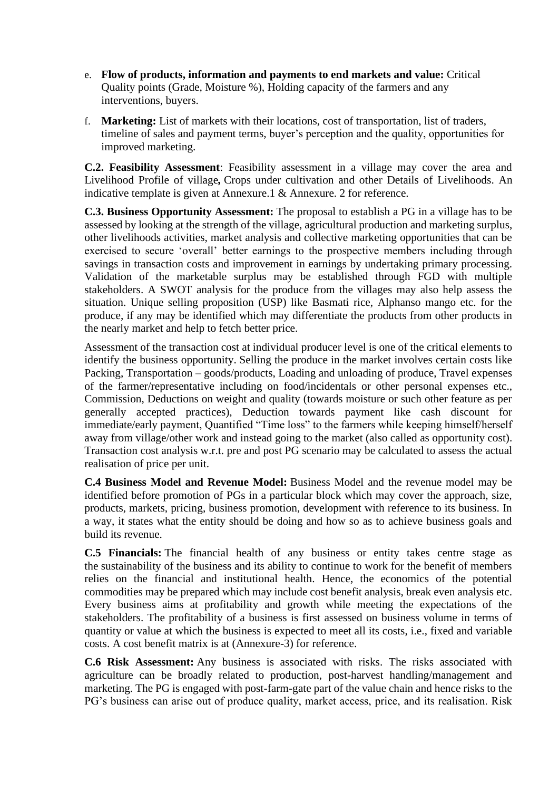- e. **Flow of products, information and payments to end markets and value:** Critical Quality points (Grade, Moisture %), Holding capacity of the farmers and any interventions, buyers.
- f. **Marketing:** List of markets with their locations, cost of transportation, list of traders, timeline of sales and payment terms, buyer's perception and the quality, opportunities for improved marketing.

**C.2. Feasibility Assessment**: Feasibility assessment in a village may cover the area and Livelihood Profile of village*,* Crops under cultivation and other Details of Livelihoods. An indicative template is given at Annexure.1 & Annexure. 2 for reference.

**C.3. Business Opportunity Assessment:** The proposal to establish a PG in a village has to be assessed by looking at the strength of the village, agricultural production and marketing surplus, other livelihoods activities, market analysis and collective marketing opportunities that can be exercised to secure 'overall' better earnings to the prospective members including through savings in transaction costs and improvement in earnings by undertaking primary processing. Validation of the marketable surplus may be established through FGD with multiple stakeholders. A SWOT analysis for the produce from the villages may also help assess the situation. Unique selling proposition (USP) like Basmati rice, Alphanso mango etc. for the produce, if any may be identified which may differentiate the products from other products in the nearly market and help to fetch better price.

Assessment of the transaction cost at individual producer level is one of the critical elements to identify the business opportunity. Selling the produce in the market involves certain costs like Packing, Transportation – goods/products, Loading and unloading of produce, Travel expenses of the farmer/representative including on food/incidentals or other personal expenses etc., Commission, Deductions on weight and quality (towards moisture or such other feature as per generally accepted practices), Deduction towards payment like cash discount for immediate/early payment, Quantified "Time loss" to the farmers while keeping himself/herself away from village/other work and instead going to the market (also called as opportunity cost). Transaction cost analysis w.r.t. pre and post PG scenario may be calculated to assess the actual realisation of price per unit.

**C.4 Business Model and Revenue Model:** Business Model and the revenue model may be identified before promotion of PGs in a particular block which may cover the approach, size, products, markets, pricing, business promotion, development with reference to its business. In a way, it states what the entity should be doing and how so as to achieve business goals and build its revenue.

**C.5 Financials:** The financial health of any business or entity takes centre stage as the sustainability of the business and its ability to continue to work for the benefit of members relies on the financial and institutional health. Hence, the economics of the potential commodities may be prepared which may include cost benefit analysis, break even analysis etc. Every business aims at profitability and growth while meeting the expectations of the stakeholders. The profitability of a business is first assessed on business volume in terms of quantity or value at which the business is expected to meet all its costs, i.e., fixed and variable costs. A cost benefit matrix is at (Annexure-3) for reference.

**C.6 Risk Assessment:** Any business is associated with risks. The risks associated with agriculture can be broadly related to production, post-harvest handling/management and marketing. The PG is engaged with post-farm-gate part of the value chain and hence risks to the PG's business can arise out of produce quality, market access, price, and its realisation. Risk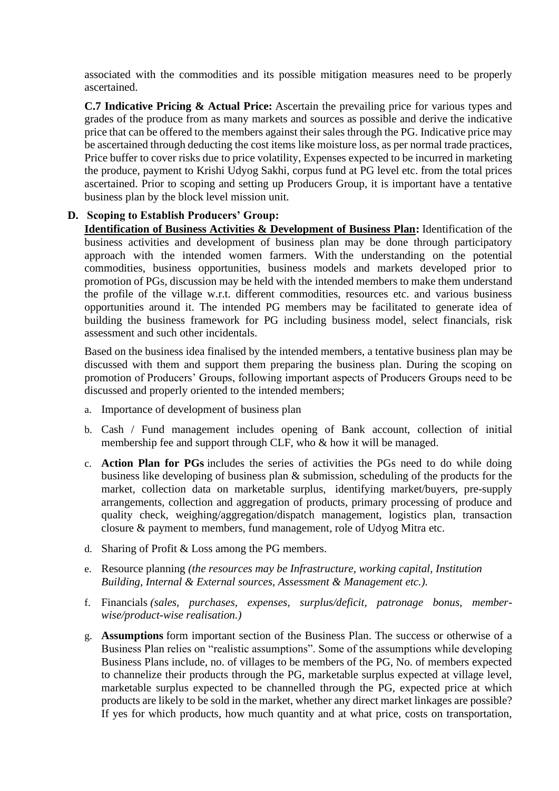associated with the commodities and its possible mitigation measures need to be properly ascertained.

**C.7 Indicative Pricing & Actual Price:** Ascertain the prevailing price for various types and grades of the produce from as many markets and sources as possible and derive the indicative price that can be offered to the members against their sales through the PG. Indicative price may be ascertained through deducting the cost items like moisture loss, as per normal trade practices, Price buffer to cover risks due to price volatility, Expenses expected to be incurred in marketing the produce, payment to Krishi Udyog Sakhi, corpus fund at PG level etc. from the total prices ascertained. Prior to scoping and setting up Producers Group, it is important have a tentative business plan by the block level mission unit.

### **D. Scoping to Establish Producers' Group:**

**Identification of Business Activities & Development of Business Plan:** Identification of the business activities and development of business plan may be done through participatory approach with the intended women farmers. With the understanding on the potential commodities, business opportunities, business models and markets developed prior to promotion of PGs, discussion may be held with the intended members to make them understand the profile of the village w.r.t. different commodities, resources etc. and various business opportunities around it. The intended PG members may be facilitated to generate idea of building the business framework for PG including business model, select financials, risk assessment and such other incidentals.

Based on the business idea finalised by the intended members, a tentative business plan may be discussed with them and support them preparing the business plan. During the scoping on promotion of Producers' Groups, following important aspects of Producers Groups need to be discussed and properly oriented to the intended members;

- a. Importance of development of business plan
- b. Cash / Fund management includes opening of Bank account, collection of initial membership fee and support through CLF, who & how it will be managed.
- c. **Action Plan for PGs** includes the series of activities the PGs need to do while doing business like developing of business plan & submission, scheduling of the products for the market, collection data on marketable surplus, identifying market/buyers, pre-supply arrangements, collection and aggregation of products, primary processing of produce and quality check, weighing/aggregation/dispatch management, logistics plan, transaction closure & payment to members, fund management, role of Udyog Mitra etc.
- d. Sharing of Profit & Loss among the PG members.
- e. Resource planning *(the resources may be Infrastructure, working capital, Institution Building, Internal & External sources, Assessment & Management etc.).*
- f. Financials *(sales, purchases, expenses, surplus/deficit, patronage bonus, memberwise/product-wise realisation.)*
- g. **Assumptions** form important section of the Business Plan. The success or otherwise of a Business Plan relies on "realistic assumptions". Some of the assumptions while developing Business Plans include, no. of villages to be members of the PG, No. of members expected to channelize their products through the PG, marketable surplus expected at village level, marketable surplus expected to be channelled through the PG, expected price at which products are likely to be sold in the market, whether any direct market linkages are possible? If yes for which products, how much quantity and at what price, costs on transportation,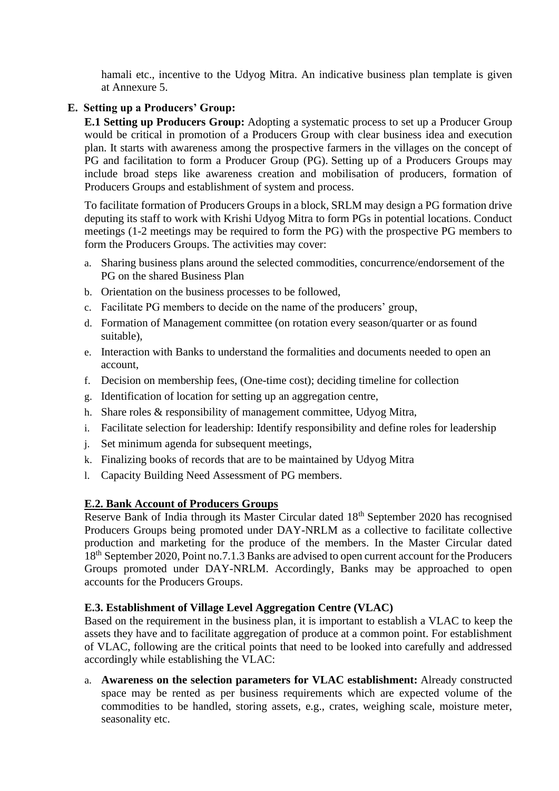hamali etc., incentive to the Udyog Mitra. An indicative business plan template is given at Annexure 5.

### **E. Setting up a Producers' Group:**

**E.1 Setting up Producers Group:** Adopting a systematic process to set up a Producer Group would be critical in promotion of a Producers Group with clear business idea and execution plan. It starts with awareness among the prospective farmers in the villages on the concept of PG and facilitation to form a Producer Group (PG). Setting up of a Producers Groups may include broad steps like awareness creation and mobilisation of producers, formation of Producers Groups and establishment of system and process.

To facilitate formation of Producers Groups in a block, SRLM may design a PG formation drive deputing its staff to work with Krishi Udyog Mitra to form PGs in potential locations. Conduct meetings (1-2 meetings may be required to form the PG) with the prospective PG members to form the Producers Groups. The activities may cover:

- a. Sharing business plans around the selected commodities, concurrence/endorsement of the PG on the shared Business Plan
- b. Orientation on the business processes to be followed,
- c. Facilitate PG members to decide on the name of the producers' group,
- d. Formation of Management committee (on rotation every season/quarter or as found suitable),
- e. Interaction with Banks to understand the formalities and documents needed to open an account,
- f. Decision on membership fees, (One-time cost); deciding timeline for collection
- g. Identification of location for setting up an aggregation centre,
- h. Share roles & responsibility of management committee, Udyog Mitra,
- i. Facilitate selection for leadership: Identify responsibility and define roles for leadership
- j. Set minimum agenda for subsequent meetings,
- k. Finalizing books of records that are to be maintained by Udyog Mitra
- l. Capacity Building Need Assessment of PG members.

#### **E.2. Bank Account of Producers Groups**

Reserve Bank of India through its Master Circular dated 18<sup>th</sup> September 2020 has recognised Producers Groups being promoted under DAY-NRLM as a collective to facilitate collective production and marketing for the produce of the members. In the Master Circular dated 18<sup>th</sup> September 2020, Point no.7.1.3 Banks are advised to open current account for the Producers Groups promoted under DAY-NRLM. Accordingly, Banks may be approached to open accounts for the Producers Groups.

#### **E.3. Establishment of Village Level Aggregation Centre (VLAC)**

Based on the requirement in the business plan, it is important to establish a VLAC to keep the assets they have and to facilitate aggregation of produce at a common point. For establishment of VLAC, following are the critical points that need to be looked into carefully and addressed accordingly while establishing the VLAC:

a. **Awareness on the selection parameters for VLAC establishment:** Already constructed space may be rented as per business requirements which are expected volume of the commodities to be handled, storing assets, e.g., crates, weighing scale, moisture meter, seasonality etc.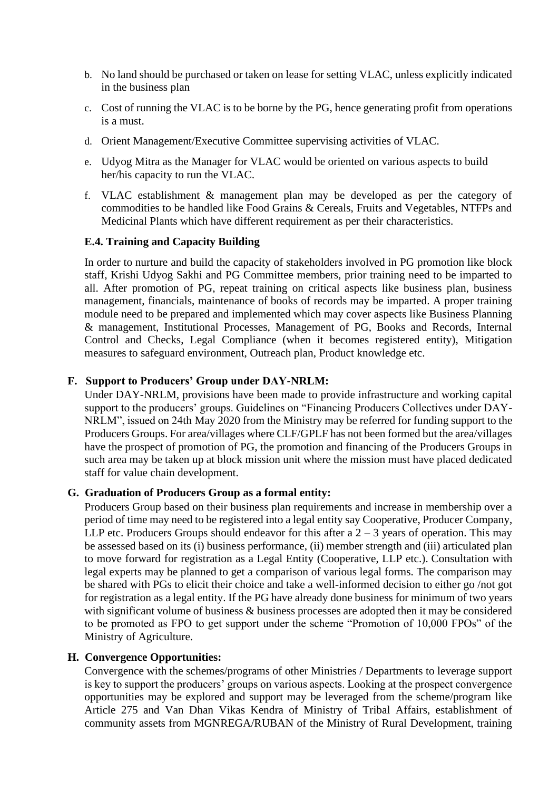- b. No land should be purchased or taken on lease for setting VLAC, unless explicitly indicated in the business plan
- c. Cost of running the VLAC is to be borne by the PG, hence generating profit from operations is a must.
- d. Orient Management/Executive Committee supervising activities of VLAC.
- e. Udyog Mitra as the Manager for VLAC would be oriented on various aspects to build her/his capacity to run the VLAC.
- f. VLAC establishment & management plan may be developed as per the category of commodities to be handled like Food Grains & Cereals, Fruits and Vegetables, NTFPs and Medicinal Plants which have different requirement as per their characteristics.

#### **E.4. Training and Capacity Building**

In order to nurture and build the capacity of stakeholders involved in PG promotion like block staff, Krishi Udyog Sakhi and PG Committee members, prior training need to be imparted to all. After promotion of PG, repeat training on critical aspects like business plan, business management, financials, maintenance of books of records may be imparted. A proper training module need to be prepared and implemented which may cover aspects like Business Planning & management, Institutional Processes, Management of PG, Books and Records, Internal Control and Checks, Legal Compliance (when it becomes registered entity), Mitigation measures to safeguard environment, Outreach plan, Product knowledge etc.

#### **F. Support to Producers' Group under DAY-NRLM:**

Under DAY-NRLM, provisions have been made to provide infrastructure and working capital support to the producers' groups. Guidelines on "Financing Producers Collectives under DAY-NRLM", issued on 24th May 2020 from the Ministry may be referred for funding support to the Producers Groups. For area/villages where CLF/GPLF has not been formed but the area/villages have the prospect of promotion of PG, the promotion and financing of the Producers Groups in such area may be taken up at block mission unit where the mission must have placed dedicated staff for value chain development.

#### **G. Graduation of Producers Group as a formal entity:**

Producers Group based on their business plan requirements and increase in membership over a period of time may need to be registered into a legal entity say Cooperative, Producer Company, LLP etc. Producers Groups should endeavor for this after a  $2 - 3$  years of operation. This may be assessed based on its (i) business performance, (ii) member strength and (iii) articulated plan to move forward for registration as a Legal Entity (Cooperative, LLP etc.). Consultation with legal experts may be planned to get a comparison of various legal forms. The comparison may be shared with PGs to elicit their choice and take a well-informed decision to either go /not got for registration as a legal entity. If the PG have already done business for minimum of two years with significant volume of business & business processes are adopted then it may be considered to be promoted as FPO to get support under the scheme "Promotion of 10,000 FPOs" of the Ministry of Agriculture.

#### **H. Convergence Opportunities:**

Convergence with the schemes/programs of other Ministries / Departments to leverage support is key to support the producers' groups on various aspects. Looking at the prospect convergence opportunities may be explored and support may be leveraged from the scheme/program like Article 275 and Van Dhan Vikas Kendra of Ministry of Tribal Affairs, establishment of community assets from MGNREGA/RUBAN of the Ministry of Rural Development, training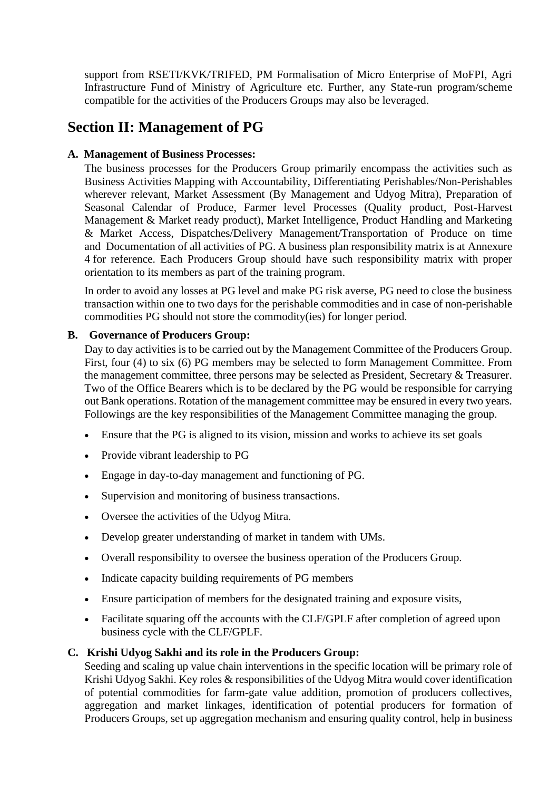support from RSETI/KVK/TRIFED, PM Formalisation of Micro Enterprise of MoFPI, Agri Infrastructure Fund of Ministry of Agriculture etc. Further, any State-run program/scheme compatible for the activities of the Producers Groups may also be leveraged.

# **Section II: Management of PG**

### **A. Management of Business Processes:**

The business processes for the Producers Group primarily encompass the activities such as Business Activities Mapping with Accountability, Differentiating Perishables/Non-Perishables wherever relevant, Market Assessment (By Management and Udyog Mitra), Preparation of Seasonal Calendar of Produce, Farmer level Processes (Quality product, Post-Harvest Management & Market ready product), Market Intelligence, Product Handling and Marketing & Market Access, Dispatches/Delivery Management/Transportation of Produce on time and Documentation of all activities of PG. A business plan responsibility matrix is at Annexure 4 for reference. Each Producers Group should have such responsibility matrix with proper orientation to its members as part of the training program.

In order to avoid any losses at PG level and make PG risk averse, PG need to close the business transaction within one to two days for the perishable commodities and in case of non-perishable commodities PG should not store the commodity(ies) for longer period.

### **B. Governance of Producers Group:**

Day to day activities is to be carried out by the Management Committee of the Producers Group. First, four (4) to six (6) PG members may be selected to form Management Committee. From the management committee, three persons may be selected as President, Secretary & Treasurer. Two of the Office Bearers which is to be declared by the PG would be responsible for carrying out Bank operations. Rotation of the management committee may be ensured in every two years. Followings are the key responsibilities of the Management Committee managing the group.

- Ensure that the PG is aligned to its vision, mission and works to achieve its set goals
- Provide vibrant leadership to PG
- Engage in day-to-day management and functioning of PG.
- Supervision and monitoring of business transactions.
- Oversee the activities of the Udyog Mitra.
- Develop greater understanding of market in tandem with UMs.
- Overall responsibility to oversee the business operation of the Producers Group.
- Indicate capacity building requirements of PG members
- Ensure participation of members for the designated training and exposure visits,
- Facilitate squaring off the accounts with the CLF/GPLF after completion of agreed upon business cycle with the CLF/GPLF.

### **C. Krishi Udyog Sakhi and its role in the Producers Group:**

Seeding and scaling up value chain interventions in the specific location will be primary role of Krishi Udyog Sakhi. Key roles & responsibilities of the Udyog Mitra would cover identification of potential commodities for farm-gate value addition, promotion of producers collectives, aggregation and market linkages, identification of potential producers for formation of Producers Groups, set up aggregation mechanism and ensuring quality control, help in business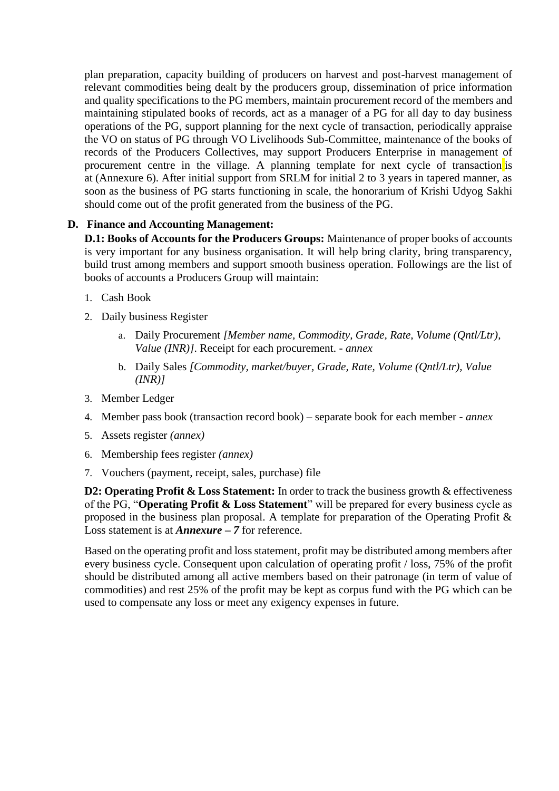plan preparation, capacity building of producers on harvest and post-harvest management of relevant commodities being dealt by the producers group, dissemination of price information and quality specifications to the PG members, maintain procurement record of the members and maintaining stipulated books of records, act as a manager of a PG for all day to day business operations of the PG, support planning for the next cycle of transaction, periodically appraise the VO on status of PG through VO Livelihoods Sub-Committee, maintenance of the books of records of the Producers Collectives, may support Producers Enterprise in management of procurement centre in the village. A planning template for next cycle of transaction is at (Annexure 6). After initial support from SRLM for initial 2 to 3 years in tapered manner, as soon as the business of PG starts functioning in scale, the honorarium of Krishi Udyog Sakhi should come out of the profit generated from the business of the PG.

### **D. Finance and Accounting Management:**

**D.1: Books of Accounts for the Producers Groups:** Maintenance of proper books of accounts is very important for any business organisation. It will help bring clarity, bring transparency, build trust among members and support smooth business operation. Followings are the list of books of accounts a Producers Group will maintain:

- 1. Cash Book
- 2. Daily business Register
	- a. Daily Procurement *[Member name, Commodity, Grade, Rate, Volume (Qntl/Ltr), Value (INR)]*. Receipt for each procurement. *- annex*
	- b. Daily Sales *[Commodity, market/buyer, Grade, Rate, Volume (Qntl/Ltr), Value (INR)]*
- 3. Member Ledger
- 4. Member pass book (transaction record book) separate book for each member *annex*
- 5. Assets register *(annex)*
- 6. Membership fees register *(annex)*
- 7. Vouchers (payment, receipt, sales, purchase) file

**D2: Operating Profit & Loss Statement:** In order to track the business growth & effectiveness of the PG, "**Operating Profit & Loss Statement**" will be prepared for every business cycle as proposed in the business plan proposal. A template for preparation of the Operating Profit & Loss statement is at *Annexure – 7* for reference.

Based on the operating profit and loss statement, profit may be distributed among members after every business cycle. Consequent upon calculation of operating profit / loss, 75% of the profit should be distributed among all active members based on their patronage (in term of value of commodities) and rest 25% of the profit may be kept as corpus fund with the PG which can be used to compensate any loss or meet any exigency expenses in future.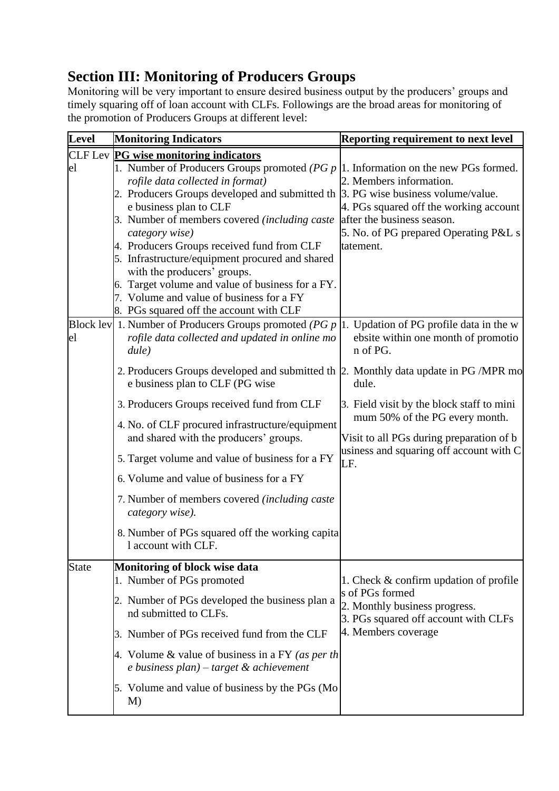# **Section III: Monitoring of Producers Groups**

Monitoring will be very important to ensure desired business output by the producers' groups and timely squaring off of loan account with CLFs. Followings are the broad areas for monitoring of the promotion of Producers Groups at different level:

| <b>Level</b> | <b>Monitoring Indicators</b>                                                                                                                                                                                                                                                                                                                                                                                                                                                                                                                 | <b>Reporting requirement to next level</b>                                                                                                                                                     |  |  |  |
|--------------|----------------------------------------------------------------------------------------------------------------------------------------------------------------------------------------------------------------------------------------------------------------------------------------------------------------------------------------------------------------------------------------------------------------------------------------------------------------------------------------------------------------------------------------------|------------------------------------------------------------------------------------------------------------------------------------------------------------------------------------------------|--|--|--|
|              | <b>CLF Lev PG wise monitoring indicators</b>                                                                                                                                                                                                                                                                                                                                                                                                                                                                                                 |                                                                                                                                                                                                |  |  |  |
| el           | 1. Number of Producers Groups promoted (PG p<br>rofile data collected in format)<br>2. Producers Groups developed and submitted th 3. PG wise business volume/value.<br>e business plan to CLF<br>3. Number of members covered (including caste<br>category wise)<br>4. Producers Groups received fund from CLF<br>5. Infrastructure/equipment procured and shared<br>with the producers' groups.<br>6. Target volume and value of business for a FY.<br>7. Volume and value of business for a FY<br>8. PGs squared off the account with CLF | 1. Information on the new PGs formed.<br>2. Members information.<br>4. PGs squared off the working account<br>after the business season.<br>5. No. of PG prepared Operating P&L s<br>tatement. |  |  |  |
| el           | Block lev 1. Number of Producers Groups promoted ( $PG p$<br>rofile data collected and updated in online mo<br>dule)                                                                                                                                                                                                                                                                                                                                                                                                                         | $\mathbf{u}$ .<br>Updation of PG profile data in the w<br>ebsite within one month of promotio<br>n of PG.                                                                                      |  |  |  |
|              | 2. Producers Groups developed and submitted th 2. Monthly data update in PG /MPR mo<br>e business plan to CLF (PG wise                                                                                                                                                                                                                                                                                                                                                                                                                       | dule.                                                                                                                                                                                          |  |  |  |
|              | 3. Producers Groups received fund from CLF                                                                                                                                                                                                                                                                                                                                                                                                                                                                                                   | 3. Field visit by the block staff to mini<br>mum 50% of the PG every month.                                                                                                                    |  |  |  |
|              | 4. No. of CLF procured infrastructure/equipment<br>and shared with the producers' groups.                                                                                                                                                                                                                                                                                                                                                                                                                                                    | Visit to all PGs during preparation of b                                                                                                                                                       |  |  |  |
|              | 5. Target volume and value of business for a FY                                                                                                                                                                                                                                                                                                                                                                                                                                                                                              | usiness and squaring off account with C<br>LF.                                                                                                                                                 |  |  |  |
|              | 6. Volume and value of business for a FY                                                                                                                                                                                                                                                                                                                                                                                                                                                                                                     |                                                                                                                                                                                                |  |  |  |
|              | 7. Number of members covered <i>(including caste</i> )<br>category wise).                                                                                                                                                                                                                                                                                                                                                                                                                                                                    |                                                                                                                                                                                                |  |  |  |
|              | 8. Number of PGs squared off the working capita<br>1 account with CLF.                                                                                                                                                                                                                                                                                                                                                                                                                                                                       |                                                                                                                                                                                                |  |  |  |
| <b>State</b> | <b>Monitoring of block wise data</b><br>1. Number of PGs promoted                                                                                                                                                                                                                                                                                                                                                                                                                                                                            | 1. Check & confirm updation of profile                                                                                                                                                         |  |  |  |
|              | 2. Number of PGs developed the business plan a<br>nd submitted to CLFs.                                                                                                                                                                                                                                                                                                                                                                                                                                                                      | s of PGs formed<br>2. Monthly business progress.<br>3. PGs squared off account with CLFs                                                                                                       |  |  |  |
|              | 3. Number of PGs received fund from the CLF                                                                                                                                                                                                                                                                                                                                                                                                                                                                                                  | 4. Members coverage                                                                                                                                                                            |  |  |  |
|              | 4. Volume & value of business in a FY (as per th<br>e business plan) – target $\&$ achievement                                                                                                                                                                                                                                                                                                                                                                                                                                               |                                                                                                                                                                                                |  |  |  |
|              | 5. Volume and value of business by the PGs (Mo<br>M)                                                                                                                                                                                                                                                                                                                                                                                                                                                                                         |                                                                                                                                                                                                |  |  |  |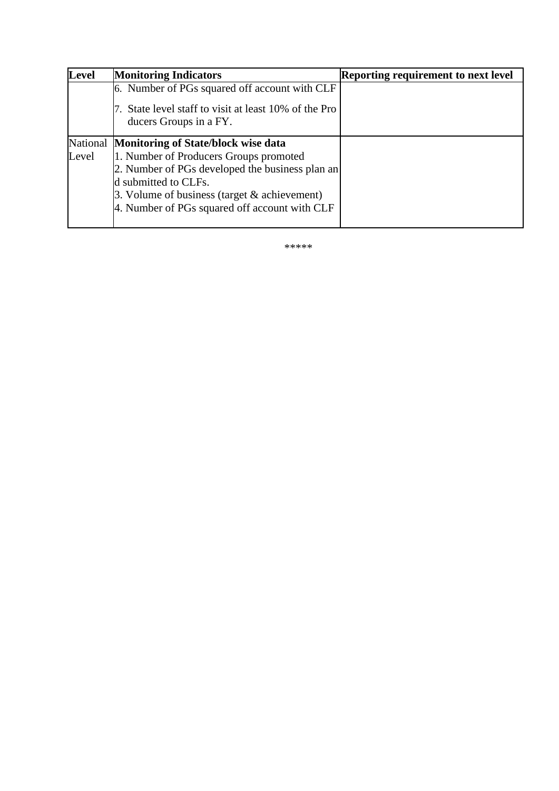| Level | <b>Monitoring Indicators</b>                                                    | <b>Reporting requirement to next level</b> |
|-------|---------------------------------------------------------------------------------|--------------------------------------------|
|       | 6. Number of PGs squared off account with CLF                                   |                                            |
|       | 7. State level staff to visit at least 10% of the Pro<br>ducers Groups in a FY. |                                            |
|       | National Monitoring of State/block wise data                                    |                                            |
| Level | 1. Number of Producers Groups promoted                                          |                                            |
|       | 2. Number of PGs developed the business plan an                                 |                                            |
|       | d submitted to CLFs.                                                            |                                            |
|       | 3. Volume of business (target & achievement)                                    |                                            |
|       | 4. Number of PGs squared off account with CLF                                   |                                            |

\*\*\*\*\*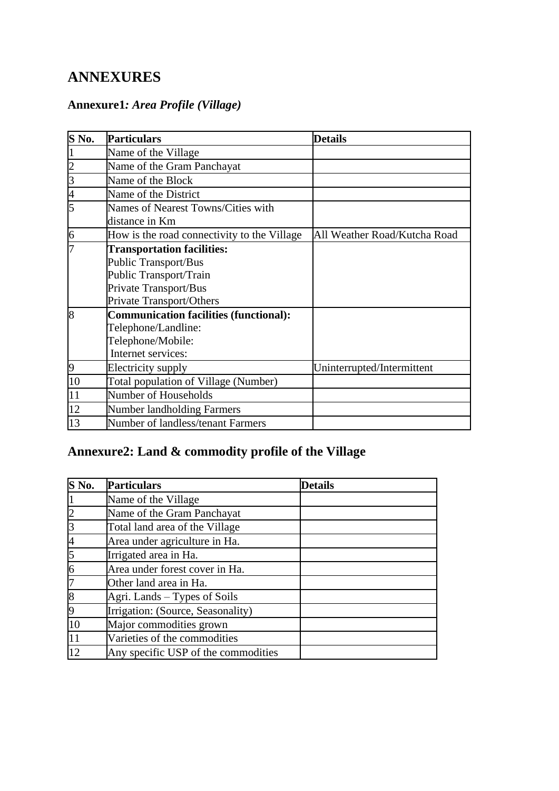# **ANNEXURES**

# **Annexure1***: Area Profile (Village)*

| S No.          | <b>Particulars</b>                            | <b>Details</b>               |
|----------------|-----------------------------------------------|------------------------------|
| $\mathbf{1}$   | Name of the Village                           |                              |
| $rac{2}{3}$    | Name of the Gram Panchayat                    |                              |
|                | Name of the Block                             |                              |
| $\overline{4}$ | Name of the District                          |                              |
| 5              | <b>Names of Nearest Towns/Cities with</b>     |                              |
|                | distance in Km                                |                              |
| $\overline{6}$ | How is the road connectivity to the Village   | All Weather Road/Kutcha Road |
| 7              | <b>Transportation facilities:</b>             |                              |
|                | <b>Public Transport/Bus</b>                   |                              |
|                | Public Transport/Train                        |                              |
|                | Private Transport/Bus                         |                              |
|                | Private Transport/Others                      |                              |
| 8              | <b>Communication facilities (functional):</b> |                              |
|                | Telephone/Landline:                           |                              |
|                | Telephone/Mobile:                             |                              |
|                | Internet services:                            |                              |
| 9              | Electricity supply                            | Uninterrupted/Intermittent   |
| 10             | Total population of Village (Number)          |                              |
| 11             | Number of Households                          |                              |
| 12             | <b>Number landholding Farmers</b>             |                              |
| 13             | Number of landless/tenant Farmers             |                              |

# **Annexure2: Land & commodity profile of the Village**

| $\overline{\mathbf{S}}\ \overline{\mathbf{N}}\mathbf{0}$ . | <b>Particulars</b>                  | <b>Details</b> |
|------------------------------------------------------------|-------------------------------------|----------------|
|                                                            | Name of the Village                 |                |
|                                                            | Name of the Gram Panchayat          |                |
| $\frac{2}{3}$                                              | Total land area of the Village      |                |
|                                                            | Area under agriculture in Ha.       |                |
| $\frac{4}{5}$                                              | Irrigated area in Ha.               |                |
|                                                            | Area under forest cover in Ha.      |                |
| $\frac{6}{7}$                                              | Other land area in Ha.              |                |
| $\frac{8}{9}$                                              | Agri. Lands – Types of Soils        |                |
|                                                            | Irrigation: (Source, Seasonality)   |                |
| $ 10\rangle$                                               | Major commodities grown             |                |
| $\overline{11}$                                            | Varieties of the commodities        |                |
| $\overline{12}$                                            | Any specific USP of the commodities |                |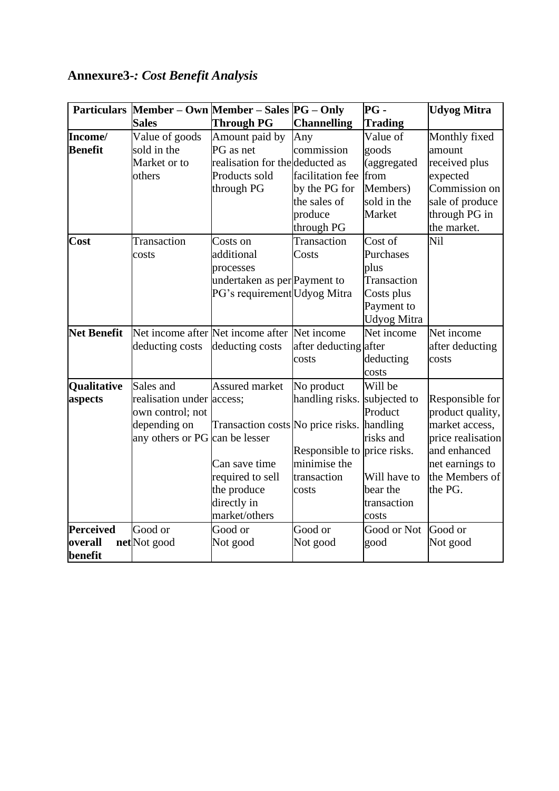# **Annexure3-***: Cost Benefit Analysis*

|                    |                                | Particulars Member - Own Member - Sales PG - Only |                             | $PG -$             | <b>Udyog Mitra</b> |
|--------------------|--------------------------------|---------------------------------------------------|-----------------------------|--------------------|--------------------|
|                    | <b>Sales</b>                   | <b>Through PG</b>                                 | <b>Channelling</b>          | Trading            |                    |
| Income/            | Value of goods                 | Amount paid by                                    | Any                         | Value of           | Monthly fixed      |
| <b>Benefit</b>     | sold in the                    | PG as net                                         | commission                  | goods              | amount             |
|                    | Market or to                   | realisation for the deducted as                   |                             | (aggregated        | received plus      |
|                    | others                         | Products sold                                     | facilitation fee            | from               | expected           |
|                    |                                | through PG                                        | by the PG for               | Members)           | Commission on      |
|                    |                                |                                                   | the sales of                | sold in the        | sale of produce    |
|                    |                                |                                                   | produce                     | Market             | through PG in      |
|                    |                                |                                                   | through PG                  |                    | the market.        |
| Cost               | Transaction                    | Costs on                                          | Transaction                 | Cost of            | Nil                |
|                    | costs                          | additional                                        | Costs                       | Purchases          |                    |
|                    |                                | processes                                         |                             | plus               |                    |
|                    |                                | undertaken as per Payment to                      |                             | Transaction        |                    |
|                    |                                | PG's requirement Udyog Mitra                      |                             | Costs plus         |                    |
|                    |                                |                                                   |                             | Payment to         |                    |
|                    |                                |                                                   |                             | <b>Udyog Mitra</b> |                    |
| <b>Net Benefit</b> |                                | Net income after Net income after Net income      |                             | Net income         | Net income         |
|                    | deducting costs                | deducting costs                                   | after deducting after       |                    | after deducting    |
|                    |                                |                                                   | costs                       | deducting          | costs              |
|                    |                                |                                                   |                             | costs              |                    |
| Qualitative        | Sales and                      | Assured market                                    | No product                  | Will be            |                    |
| aspects            | realisation under access;      |                                                   | handling risks.             | subjected to       | Responsible for    |
|                    | own control; not               |                                                   |                             | Product            | product quality,   |
|                    | depending on                   | Transaction costs No price risks.                 |                             | handling           | market access,     |
|                    | any others or PG can be lesser |                                                   |                             | risks and          | price realisation  |
|                    |                                |                                                   | Responsible to price risks. |                    | and enhanced       |
|                    |                                | Can save time                                     | minimise the                |                    | net earnings to    |
|                    |                                | required to sell                                  | transaction                 | Will have to       | the Members of     |
|                    |                                | the produce                                       | costs                       | bear the           | the PG.            |
|                    |                                | directly in                                       |                             | transaction        |                    |
|                    |                                | market/others                                     |                             | costs              |                    |
| Perceived          | Good or                        | Good or                                           | Good or                     | Good or Not        | Good or            |
| overall            | net Not good                   | Not good                                          | Not good                    | good               | Not good           |
| benefit            |                                |                                                   |                             |                    |                    |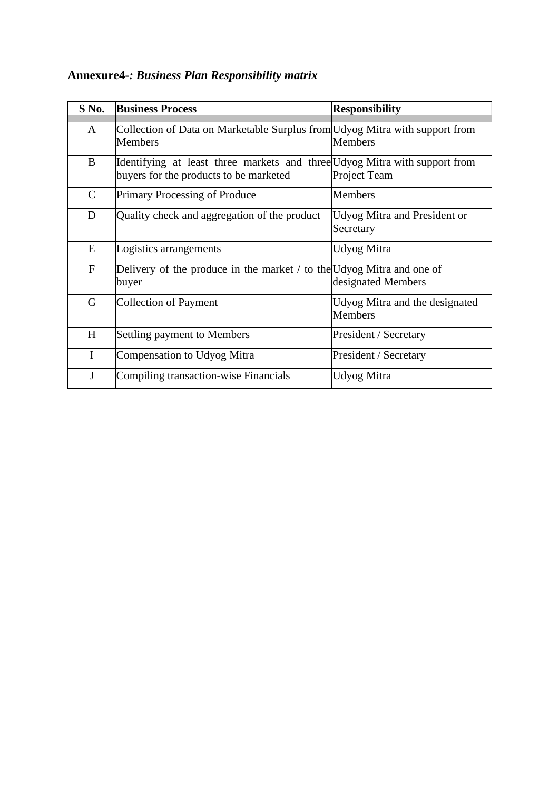| S No.        | <b>Business Process</b>                                                                                              | <b>Responsibility</b>                            |
|--------------|----------------------------------------------------------------------------------------------------------------------|--------------------------------------------------|
| A            | Collection of Data on Marketable Surplus from Udyog Mitra with support from<br><b>Members</b>                        | <b>Members</b>                                   |
| B            | Identifying at least three markets and three Udyog Mitra with support from<br>buyers for the products to be marketed | Project Team                                     |
| $\mathsf{C}$ | <b>Primary Processing of Produce</b>                                                                                 | <b>Members</b>                                   |
| D            | Quality check and aggregation of the product                                                                         | Udyog Mitra and President or<br>Secretary        |
| E            | Logistics arrangements                                                                                               | Udyog Mitra                                      |
| $\mathbf{F}$ | Delivery of the produce in the market / to the Udyog Mitra and one of<br>buyer                                       | designated Members                               |
| G            | <b>Collection of Payment</b>                                                                                         | Udyog Mitra and the designated<br><b>Members</b> |
| H            | Settling payment to Members                                                                                          | President / Secretary                            |
| $\mathbf I$  | Compensation to Udyog Mitra                                                                                          | President / Secretary                            |
| J            | Compiling transaction-wise Financials                                                                                | Udyog Mitra                                      |

# **Annexure4-***: Business Plan Responsibility matrix*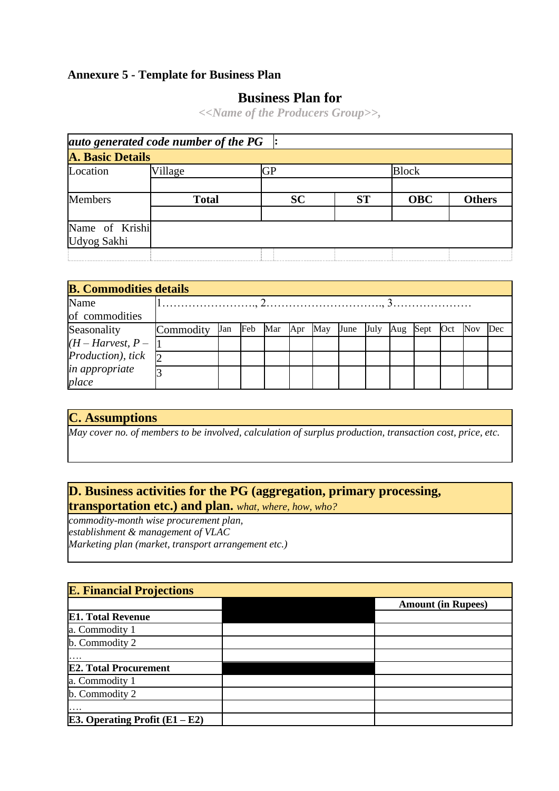## **Annexure 5 - Template for Business Plan**

## **Business Plan for**

*<<Name of the Producers Group>>,*

| auto generated code number of the PG      |                         |  |  |  |  |                |              |           |
|-------------------------------------------|-------------------------|--|--|--|--|----------------|--------------|-----------|
|                                           | <b>A. Basic Details</b> |  |  |  |  |                |              |           |
| <b>Block</b><br>Location<br>Village<br>GP |                         |  |  |  |  |                |              |           |
|                                           |                         |  |  |  |  | <b>Members</b> | <b>Total</b> | <b>SC</b> |
|                                           |                         |  |  |  |  |                |              |           |
| Name of Krishi                            |                         |  |  |  |  |                |              |           |
| Udyog Sakhi                               |                         |  |  |  |  |                |              |           |
|                                           |                         |  |  |  |  |                |              |           |

| <b>B. Commodities details</b> |           |     |     |     |     |     |      |      |     |      |            |            |     |
|-------------------------------|-----------|-----|-----|-----|-----|-----|------|------|-----|------|------------|------------|-----|
| Name                          |           |     |     |     |     |     |      |      |     |      |            |            |     |
| of commodities                |           |     |     |     |     |     |      |      |     |      |            |            |     |
| Seasonality                   | Commodity | Jan | Feb | Mar | Apr | May | June | Uulv | Aug | Sept | <b>Oct</b> | <b>Nov</b> | Dec |
| $(H-Harvest, P-$              |           |     |     |     |     |     |      |      |     |      |            |            |     |
| Production), tick             |           |     |     |     |     |     |      |      |     |      |            |            |     |
| in appropriate<br>place       |           |     |     |     |     |     |      |      |     |      |            |            |     |

## **C. Assumptions**

*May cover no. of members to be involved, calculation of surplus production, transaction cost, price, etc.*

## **D. Business activities for the PG (aggregation, primary processing, transportation etc.) and plan.** *what, where, how, who?*

*commodity-month wise procurement plan, establishment & management of VLAC Marketing plan (market, transport arrangement etc.)*

| <b>E. Financial Projections</b>  |  |                           |  |  |  |  |
|----------------------------------|--|---------------------------|--|--|--|--|
|                                  |  | <b>Amount (in Rupees)</b> |  |  |  |  |
| <b>E1. Total Revenue</b>         |  |                           |  |  |  |  |
| a. Commodity 1                   |  |                           |  |  |  |  |
| b. Commodity 2                   |  |                           |  |  |  |  |
| .                                |  |                           |  |  |  |  |
| <b>E2. Total Procurement</b>     |  |                           |  |  |  |  |
| a. Commodity 1                   |  |                           |  |  |  |  |
| b. Commodity 2                   |  |                           |  |  |  |  |
| $\cdots$                         |  |                           |  |  |  |  |
| E3. Operating Profit $(E1 - E2)$ |  |                           |  |  |  |  |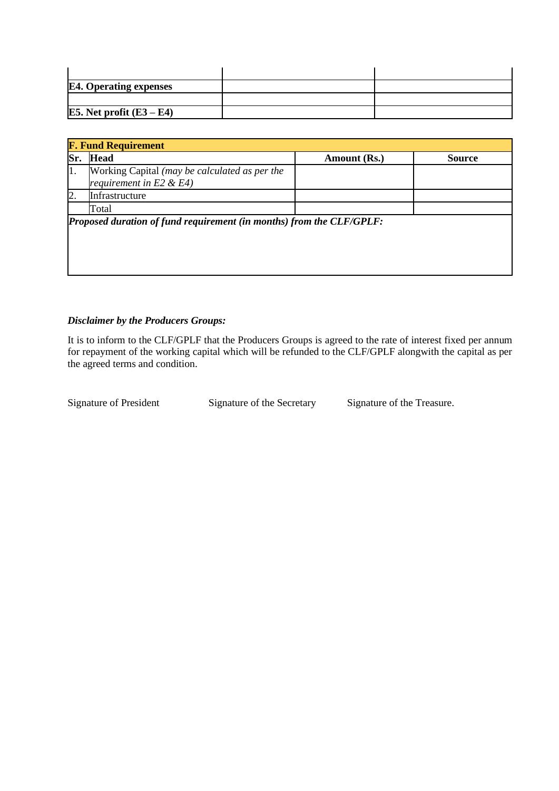| <b>E4. Operating expenses</b> |  |
|-------------------------------|--|
|                               |  |
| E5. Net profit $(E3 - E4)$    |  |

| <b>F. Fund Requirement</b> |                                                                              |              |               |  |  |  |
|----------------------------|------------------------------------------------------------------------------|--------------|---------------|--|--|--|
| Sr.                        | <b>Head</b>                                                                  | Amount (Rs.) | <b>Source</b> |  |  |  |
| П.                         | Working Capital (may be calculated as per the<br>requirement in $E2 \& E4$ ) |              |               |  |  |  |
| $\overline{2}$             | Infrastructure                                                               |              |               |  |  |  |
|                            | Total                                                                        |              |               |  |  |  |
|                            | Proposed duration of fund requirement (in months) from the CLF/GPLF:         |              |               |  |  |  |

#### *Disclaimer by the Producers Groups:*

It is to inform to the CLF/GPLF that the Producers Groups is agreed to the rate of interest fixed per annum for repayment of the working capital which will be refunded to the CLF/GPLF alongwith the capital as per the agreed terms and condition.

Signature of President Signature of the Secretary Signature of the Treasure.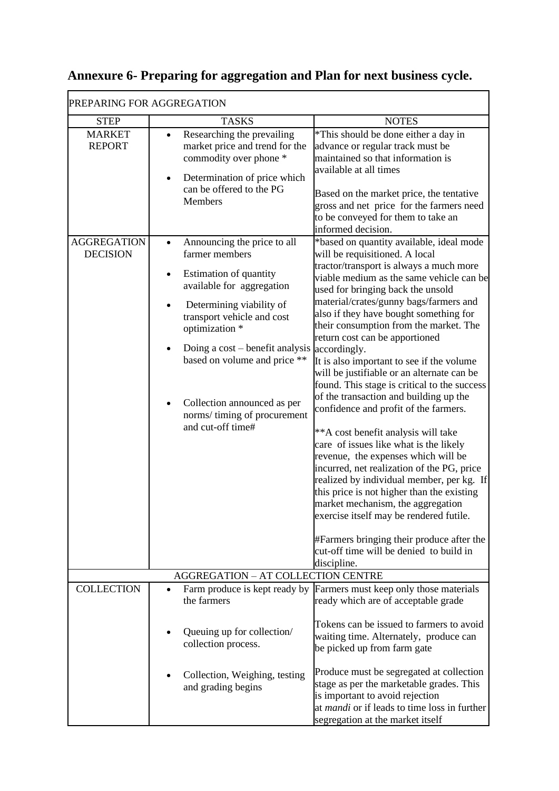# **Annexure 6- Preparing for aggregation and Plan for next business cycle.**

| <b>STEP</b>                           | <b>TASKS</b>                                                                    | <b>NOTES</b>                                                                                                                                                                                                                                                                                                                                   |  |  |
|---------------------------------------|---------------------------------------------------------------------------------|------------------------------------------------------------------------------------------------------------------------------------------------------------------------------------------------------------------------------------------------------------------------------------------------------------------------------------------------|--|--|
| <b>MARKET</b>                         | Researching the prevailing<br>$\bullet$                                         | *This should be done either a day in                                                                                                                                                                                                                                                                                                           |  |  |
| <b>REPORT</b>                         | market price and trend for the<br>commodity over phone *                        | advance or regular track must be<br>maintained so that information is                                                                                                                                                                                                                                                                          |  |  |
|                                       | Determination of price which<br>can be offered to the PG<br><b>Members</b>      | available at all times<br>Based on the market price, the tentative<br>gross and net price for the farmers need<br>to be conveyed for them to take an<br>informed decision.                                                                                                                                                                     |  |  |
| <b>AGGREGATION</b><br><b>DECISION</b> | Announcing the price to all<br>farmer members                                   | *based on quantity available, ideal mode<br>will be requisitioned. A local                                                                                                                                                                                                                                                                     |  |  |
|                                       | <b>Estimation of quantity</b><br>$\bullet$<br>available for aggregation         | tractor/transport is always a much more<br>viable medium as the same vehicle can be<br>used for bringing back the unsold                                                                                                                                                                                                                       |  |  |
|                                       | Determining viability of<br>transport vehicle and cost<br>optimization *        | material/crates/gunny bags/farmers and<br>also if they have bought something for<br>their consumption from the market. The<br>return cost can be apportioned                                                                                                                                                                                   |  |  |
|                                       | Doing a cost – benefit analysis<br>based on volume and price **                 | accordingly.<br>It is also important to see if the volume<br>will be justifiable or an alternate can be<br>found. This stage is critical to the success                                                                                                                                                                                        |  |  |
|                                       | Collection announced as per<br>norms/timing of procurement<br>and cut-off time# | of the transaction and building up the<br>confidence and profit of the farmers.                                                                                                                                                                                                                                                                |  |  |
|                                       |                                                                                 | ** A cost benefit analysis will take<br>care of issues like what is the likely<br>revenue, the expenses which will be<br>incurred, net realization of the PG, price<br>realized by individual member, per kg. If<br>this price is not higher than the existing<br>market mechanism, the aggregation<br>exercise itself may be rendered futile. |  |  |
|                                       |                                                                                 | #Farmers bringing their produce after the<br>cut-off time will be denied to build in<br>discipline.                                                                                                                                                                                                                                            |  |  |
|                                       | AGGREGATION - AT COLLECTION CENTRE                                              |                                                                                                                                                                                                                                                                                                                                                |  |  |
| <b>COLLECTION</b>                     | Farm produce is kept ready by<br>the farmers                                    | Farmers must keep only those materials<br>ready which are of acceptable grade                                                                                                                                                                                                                                                                  |  |  |
|                                       | Queuing up for collection/<br>collection process.                               | Tokens can be issued to farmers to avoid<br>waiting time. Alternately, produce can<br>be picked up from farm gate                                                                                                                                                                                                                              |  |  |
|                                       | Collection, Weighing, testing<br>and grading begins                             | Produce must be segregated at collection<br>stage as per the marketable grades. This<br>is important to avoid rejection<br>at mandi or if leads to time loss in further<br>segregation at the market itself                                                                                                                                    |  |  |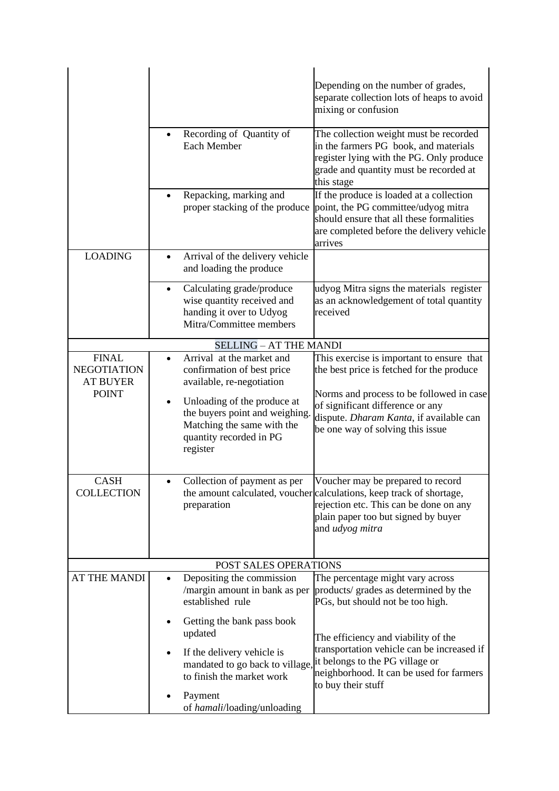|                                                                       | Depending on the number of grades,<br>separate collection lots of heaps to avoid<br>mixing or confusion<br>Recording of Quantity of<br>The collection weight must be recorded<br>Each Member<br>in the farmers PG book, and materials<br>register lying with the PG. Only produce<br>grade and quantity must be recorded at<br>this stage                                                                                                                                                                     |
|-----------------------------------------------------------------------|---------------------------------------------------------------------------------------------------------------------------------------------------------------------------------------------------------------------------------------------------------------------------------------------------------------------------------------------------------------------------------------------------------------------------------------------------------------------------------------------------------------|
|                                                                       | If the produce is loaded at a collection<br>Repacking, marking and<br>proper stacking of the produce<br>point, the PG committee/udyog mitra<br>should ensure that all these formalities<br>are completed before the delivery vehicle<br>arrives                                                                                                                                                                                                                                                               |
| <b>LOADING</b>                                                        | Arrival of the delivery vehicle<br>and loading the produce                                                                                                                                                                                                                                                                                                                                                                                                                                                    |
|                                                                       | Calculating grade/produce<br>udyog Mitra signs the materials register<br>$\bullet$<br>wise quantity received and<br>as an acknowledgement of total quantity<br>handing it over to Udyog<br>received<br>Mitra/Committee members                                                                                                                                                                                                                                                                                |
|                                                                       | <b>SELLING - AT THE MANDI</b>                                                                                                                                                                                                                                                                                                                                                                                                                                                                                 |
| <b>FINAL</b><br><b>NEGOTIATION</b><br><b>AT BUYER</b><br><b>POINT</b> | Arrival at the market and<br>This exercise is important to ensure that<br>$\bullet$<br>the best price is fetched for the produce<br>confirmation of best price<br>available, re-negotiation<br>Norms and process to be followed in case<br>Unloading of the produce at<br>$\bullet$<br>of significant difference or any<br>the buyers point and weighing.<br>dispute. Dharam Kanta, if available can<br>Matching the same with the<br>be one way of solving this issue<br>quantity recorded in PG<br>register |
| <b>CASH</b><br><b>COLLECTION</b>                                      | Collection of payment as per<br>Voucher may be prepared to record<br>$\bullet$<br>the amount calculated, voucher calculations, keep track of shortage,<br>rejection etc. This can be done on any<br>preparation<br>plain paper too but signed by buyer<br>and udyog mitra                                                                                                                                                                                                                                     |
|                                                                       | POST SALES OPERATIONS                                                                                                                                                                                                                                                                                                                                                                                                                                                                                         |
| <b>AT THE MANDI</b>                                                   | The percentage might vary across<br>Depositing the commission<br>/margin amount in bank as per<br>products/ grades as determined by the<br>established rule<br>PGs, but should not be too high.                                                                                                                                                                                                                                                                                                               |
|                                                                       | Getting the bank pass book<br>updated<br>The efficiency and viability of the<br>transportation vehicle can be increased if<br>If the delivery vehicle is<br>it belongs to the PG village or<br>mandated to go back to village,<br>neighborhood. It can be used for farmers<br>to finish the market work<br>to buy their stuff<br>Payment<br>of hamali/loading/unloading                                                                                                                                       |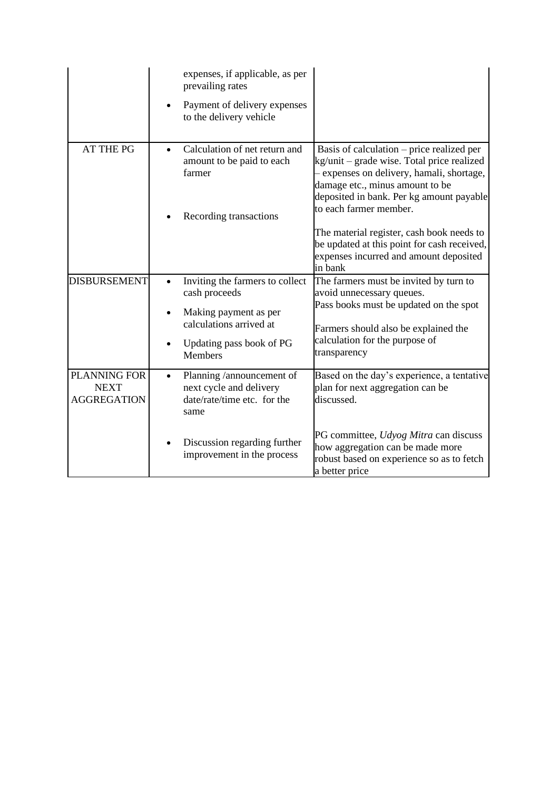|                                                          | expenses, if applicable, as per<br>prevailing rates<br>Payment of delivery expenses<br>to the delivery vehicle                                     |                                                                                                                                                                                                                                                                                                                                                                                   |
|----------------------------------------------------------|----------------------------------------------------------------------------------------------------------------------------------------------------|-----------------------------------------------------------------------------------------------------------------------------------------------------------------------------------------------------------------------------------------------------------------------------------------------------------------------------------------------------------------------------------|
| <b>AT THE PG</b>                                         | Calculation of net return and<br>$\bullet$<br>amount to be paid to each<br>farmer<br>Recording transactions                                        | Basis of calculation – price realized per<br>kg/unit – grade wise. Total price realized<br>expenses on delivery, hamali, shortage,<br>damage etc., minus amount to be<br>deposited in bank. Per kg amount payable<br>to each farmer member.<br>The material register, cash book needs to<br>be updated at this point for cash received,<br>expenses incurred and amount deposited |
|                                                          |                                                                                                                                                    | in bank                                                                                                                                                                                                                                                                                                                                                                           |
| <b>DISBURSEMENT</b>                                      | Inviting the farmers to collect<br>cash proceeds<br>Making payment as per<br>calculations arrived at<br>Updating pass book of PG<br><b>Members</b> | The farmers must be invited by turn to<br>avoid unnecessary queues.<br>Pass books must be updated on the spot<br>Farmers should also be explained the<br>calculation for the purpose of<br>transparency                                                                                                                                                                           |
| <b>PLANNING FOR</b><br><b>NEXT</b><br><b>AGGREGATION</b> | Planning /announcement of<br>$\bullet$<br>next cycle and delivery<br>date/rate/time etc. for the<br>same                                           | Based on the day's experience, a tentative<br>plan for next aggregation can be<br>discussed.                                                                                                                                                                                                                                                                                      |
|                                                          | Discussion regarding further<br>improvement in the process                                                                                         | PG committee, Udyog Mitra can discuss<br>how aggregation can be made more<br>robust based on experience so as to fetch<br>a better price                                                                                                                                                                                                                                          |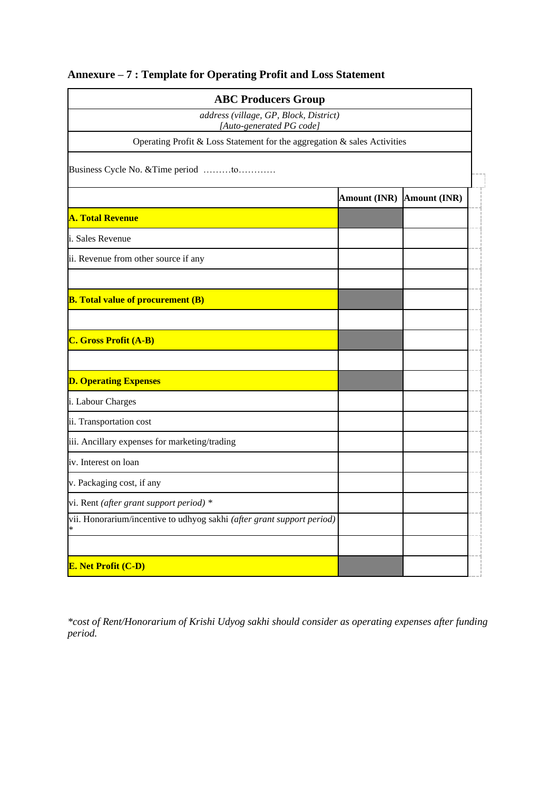## **Annexure – 7 : Template for Operating Profit and Loss Statement**

| <b>ABC Producers Group</b>                                               |              |              |  |  |  |  |  |
|--------------------------------------------------------------------------|--------------|--------------|--|--|--|--|--|
| address (village, GP, Block, District)<br>[Auto-generated PG code]       |              |              |  |  |  |  |  |
| Operating Profit & Loss Statement for the aggregation & sales Activities |              |              |  |  |  |  |  |
| Business Cycle No. & Time period to                                      |              |              |  |  |  |  |  |
|                                                                          | Amount (INR) | Amount (INR) |  |  |  |  |  |
| <b>A. Total Revenue</b>                                                  |              |              |  |  |  |  |  |
| i. Sales Revenue                                                         |              |              |  |  |  |  |  |
| ii. Revenue from other source if any                                     |              |              |  |  |  |  |  |
|                                                                          |              |              |  |  |  |  |  |
| <b>B.</b> Total value of procurement (B)                                 |              |              |  |  |  |  |  |
|                                                                          |              |              |  |  |  |  |  |
| <b>C. Gross Profit (A-B)</b>                                             |              |              |  |  |  |  |  |
|                                                                          |              |              |  |  |  |  |  |
| <b>D. Operating Expenses</b>                                             |              |              |  |  |  |  |  |
| i. Labour Charges                                                        |              |              |  |  |  |  |  |
| ii. Transportation cost                                                  |              |              |  |  |  |  |  |
| iii. Ancillary expenses for marketing/trading                            |              |              |  |  |  |  |  |
| iv. Interest on loan                                                     |              |              |  |  |  |  |  |
| v. Packaging cost, if any                                                |              |              |  |  |  |  |  |
| vi. Rent (after grant support period) *                                  |              |              |  |  |  |  |  |
| vii. Honorarium/incentive to udhyog sakhi (after grant support period)   |              |              |  |  |  |  |  |
|                                                                          |              |              |  |  |  |  |  |
| <b>E. Net Profit (C-D)</b>                                               |              |              |  |  |  |  |  |

*\*cost of Rent/Honorarium of Krishi Udyog sakhi should consider as operating expenses after funding period.*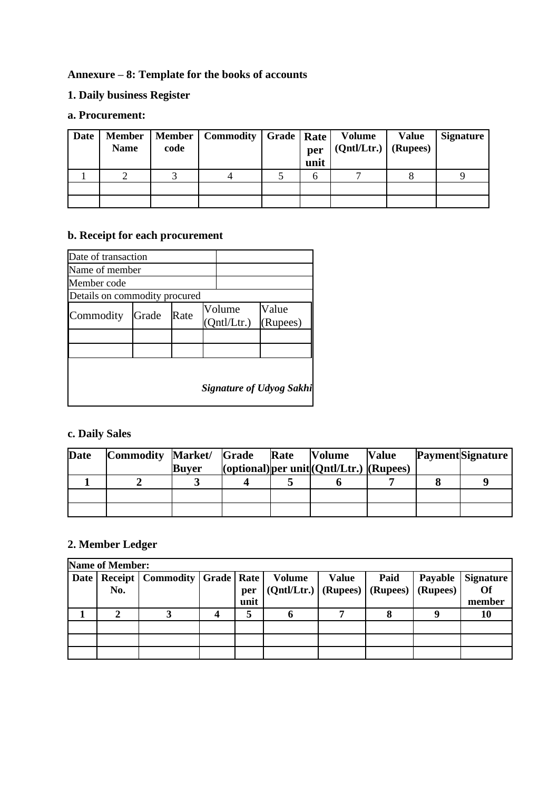## **Annexure – 8: Template for the books of accounts**

## **1. Daily business Register**

### **a. Procurement:**

| Date | <b>Member</b><br><b>Name</b> | code | Member   Commodity   Grade   Rate | per<br>unit | <b>Volume</b><br>$(QntI/Ltr.)$ (Rupees) | <b>Value</b> | <b>Signature</b> |
|------|------------------------------|------|-----------------------------------|-------------|-----------------------------------------|--------------|------------------|
|      |                              |      | 4                                 | h           |                                         |              |                  |
|      |                              |      |                                   |             |                                         |              |                  |
|      |                              |      |                                   |             |                                         |              |                  |

## **b. Receipt for each procurement**

| Date of transaction           |       |      |                      |                          |
|-------------------------------|-------|------|----------------------|--------------------------|
| Name of member                |       |      |                      |                          |
| Member code                   |       |      |                      |                          |
| Details on commodity procured |       |      |                      |                          |
| Commodity                     | Grade | Rate | Volume<br>Qntl/Ltr.) | Value<br>(Rupees)        |
|                               |       |      |                      |                          |
|                               |       |      |                      |                          |
|                               |       |      |                      | Signature of Udyog Sakhi |

## **c. Daily Sales**

| Date | Commodity Market/ Grade |              | Rate | Volume<br>$ {\rm (optional)} $ per unit $ {\rm (Qntl/Ltr.)} $ (Rupees) | <b>Value</b> | <b>Payment</b> Signature |
|------|-------------------------|--------------|------|------------------------------------------------------------------------|--------------|--------------------------|
|      |                         | <b>Buver</b> |      |                                                                        |              |                          |
|      |                         |              |      |                                                                        |              |                          |
|      |                         |              |      |                                                                        |              |                          |
|      |                         |              |      |                                                                        |              |                          |

## **2. Member Ledger**

| <b>Name of Member:</b> |     |                                    |  |      |                                 |       |      |          |                  |
|------------------------|-----|------------------------------------|--|------|---------------------------------|-------|------|----------|------------------|
| <b>Date</b>            |     | Receipt   Commodity   Grade   Rate |  |      | Volume                          | Value | Paid | Payable  | <b>Signature</b> |
|                        | No. |                                    |  | per  | $(QntI/Ltr.)$ (Rupees) (Rupees) |       |      | (Rupees) | <b>Of</b>        |
|                        |     |                                    |  | unit |                                 |       |      |          | member           |
|                        |     |                                    |  |      |                                 |       |      |          | 10               |
|                        |     |                                    |  |      |                                 |       |      |          |                  |
|                        |     |                                    |  |      |                                 |       |      |          |                  |
|                        |     |                                    |  |      |                                 |       |      |          |                  |